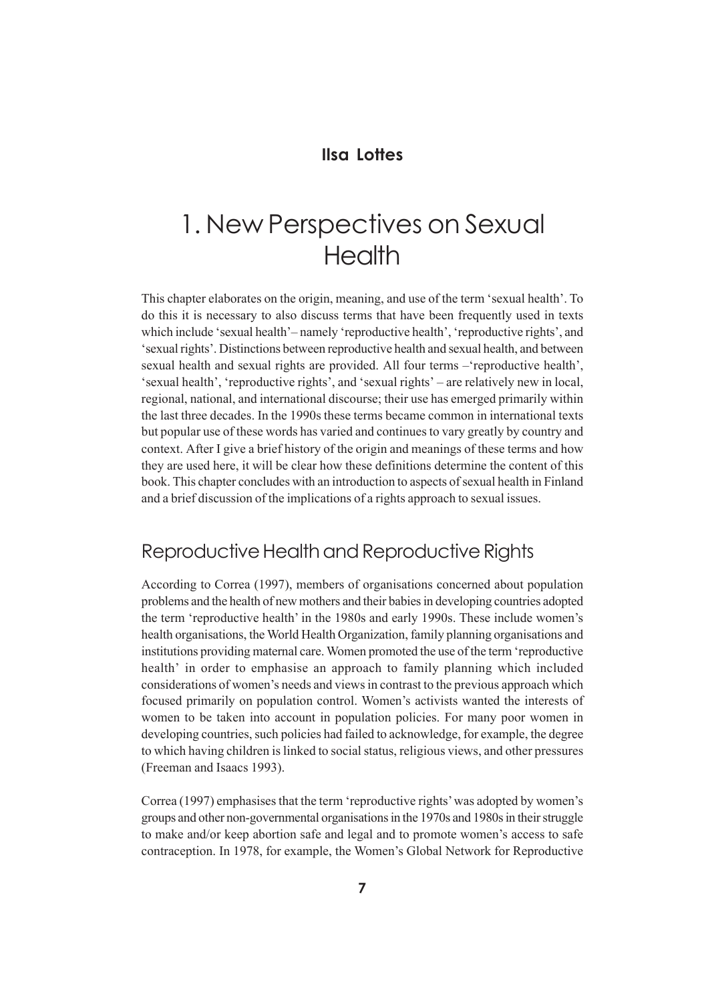### **Ilsa Lottes**

# 1. New Perspectives on Sexual **Health**

This chapter elaborates on the origin, meaning, and use of the term 'sexual health'. To do this it is necessary to also discuss terms that have been frequently used in texts which include 'sexual health'– namely 'reproductive health', 'reproductive rights', and 'sexual rights'. Distinctions between reproductive health and sexual health, and between sexual health and sexual rights are provided. All four terms –'reproductive health', 'sexual health', 'reproductive rights', and 'sexual rights' – are relatively new in local, regional, national, and international discourse; their use has emerged primarily within the last three decades. In the 1990s these terms became common in international texts but popular use of these words has varied and continues to vary greatly by country and context. After I give a brief history of the origin and meanings of these terms and how they are used here, it will be clear how these definitions determine the content of this book. This chapter concludes with an introduction to aspects of sexual health in Finland and a brief discussion of the implications of a rights approach to sexual issues.

# Reproductive Health and Reproductive Rights

According to Correa (1997), members of organisations concerned about population problems and the health of new mothers and their babies in developing countries adopted the term 'reproductive health' in the 1980s and early 1990s. These include women's health organisations, the World Health Organization, family planning organisations and institutions providing maternal care. Women promoted the use of the term 'reproductive health' in order to emphasise an approach to family planning which included considerations of women's needs and views in contrast to the previous approach which focused primarily on population control. Women's activists wanted the interests of women to be taken into account in population policies. For many poor women in developing countries, such policies had failed to acknowledge, for example, the degree to which having children is linked to social status, religious views, and other pressures (Freeman and Isaacs 1993).

Correa (1997) emphasises that the term 'reproductive rights' was adopted by women's groups and other non-governmental organisations in the 1970s and 1980s in their struggle to make and/or keep abortion safe and legal and to promote women's access to safe contraception. In 1978, for example, the Women's Global Network for Reproductive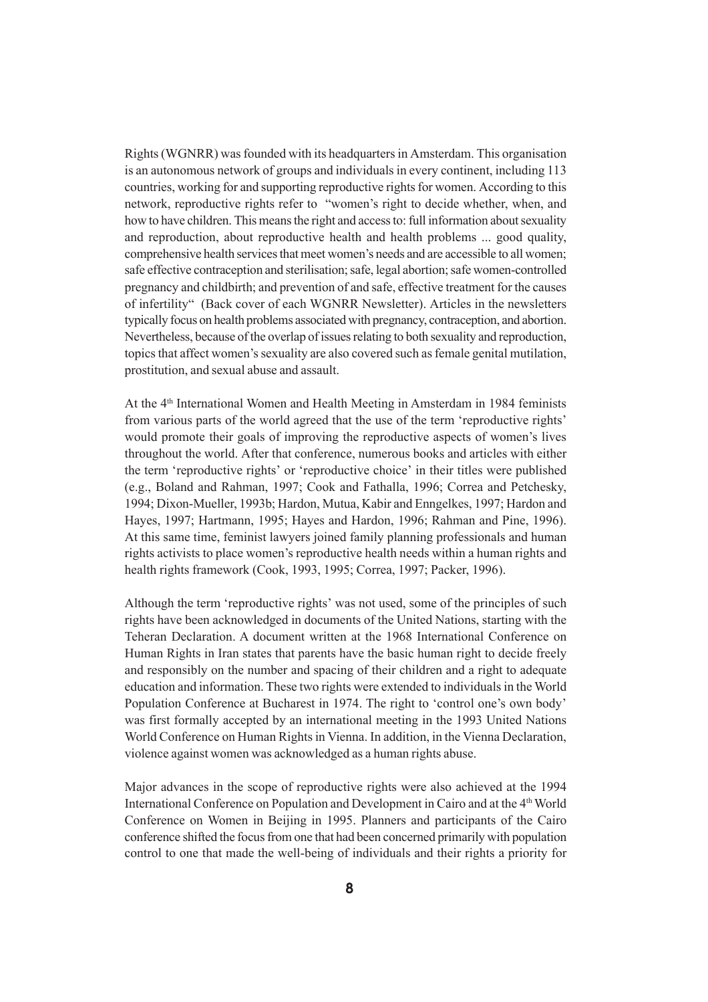Rights (WGNRR) was founded with its headquarters in Amsterdam. This organisation is an autonomous network of groups and individuals in every continent, including 113 countries, working for and supporting reproductive rights for women. According to this network, reproductive rights refer to "women's right to decide whether, when, and how to have children. This means the right and access to: full information about sexuality and reproduction, about reproductive health and health problems ... good quality, comprehensive health services that meet women's needs and are accessible to all women; safe effective contraception and sterilisation; safe, legal abortion; safe women-controlled pregnancy and childbirth; and prevention of and safe, effective treatment for the causes of infertility" (Back cover of each WGNRR Newsletter). Articles in the newsletters typically focus on health problems associated with pregnancy, contraception, and abortion. Nevertheless, because of the overlap of issues relating to both sexuality and reproduction, topics that affect women's sexuality are also covered such as female genital mutilation, prostitution, and sexual abuse and assault.

At the 4th International Women and Health Meeting in Amsterdam in 1984 feminists from various parts of the world agreed that the use of the term 'reproductive rights' would promote their goals of improving the reproductive aspects of women's lives throughout the world. After that conference, numerous books and articles with either the term 'reproductive rights' or 'reproductive choice' in their titles were published (e.g., Boland and Rahman, 1997; Cook and Fathalla, 1996; Correa and Petchesky, 1994; Dixon-Mueller, 1993b; Hardon, Mutua, Kabir and Enngelkes, 1997; Hardon and Hayes, 1997; Hartmann, 1995; Hayes and Hardon, 1996; Rahman and Pine, 1996). At this same time, feminist lawyers joined family planning professionals and human rights activists to place women's reproductive health needs within a human rights and health rights framework (Cook, 1993, 1995; Correa, 1997; Packer, 1996).

Although the term 'reproductive rights' was not used, some of the principles of such rights have been acknowledged in documents of the United Nations, starting with the Teheran Declaration. A document written at the 1968 International Conference on Human Rights in Iran states that parents have the basic human right to decide freely and responsibly on the number and spacing of their children and a right to adequate education and information. These two rights were extended to individuals in the World Population Conference at Bucharest in 1974. The right to 'control one's own body' was first formally accepted by an international meeting in the 1993 United Nations World Conference on Human Rights in Vienna. In addition, in the Vienna Declaration, violence against women was acknowledged as a human rights abuse.

Major advances in the scope of reproductive rights were also achieved at the 1994 International Conference on Population and Development in Cairo and at the 4<sup>th</sup> World Conference on Women in Beijing in 1995. Planners and participants of the Cairo conference shifted the focus from one that had been concerned primarily with population control to one that made the well-being of individuals and their rights a priority for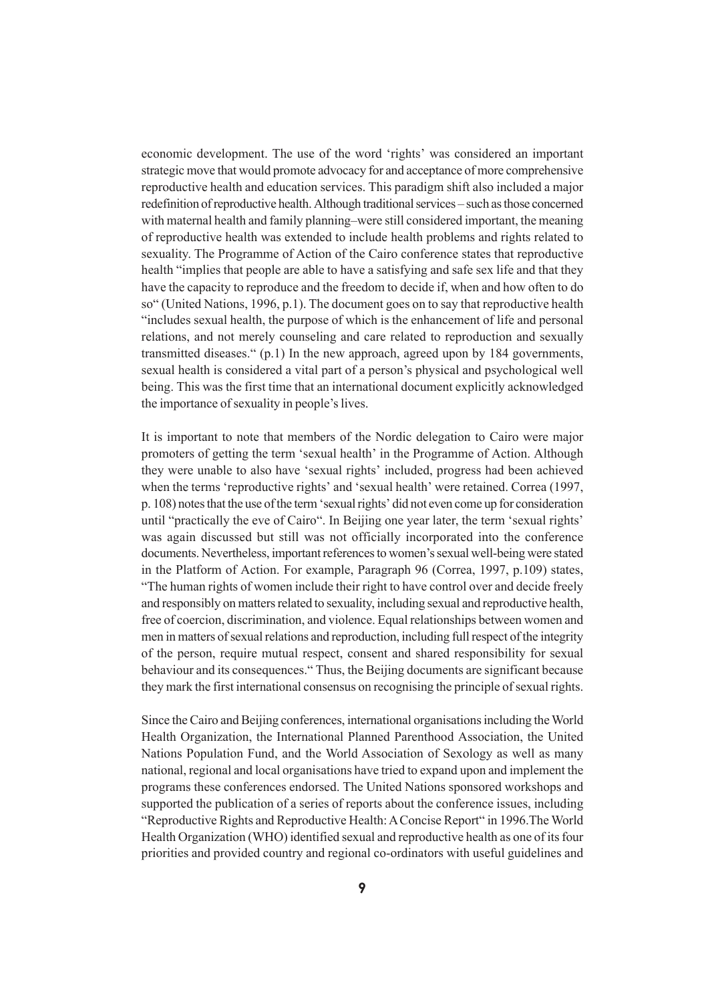economic development. The use of the word 'rights' was considered an important strategic move that would promote advocacy for and acceptance of more comprehensive reproductive health and education services. This paradigm shift also included a major redefinition of reproductive health. Although traditional services – such as those concerned with maternal health and family planning–were still considered important, the meaning of reproductive health was extended to include health problems and rights related to sexuality. The Programme of Action of the Cairo conference states that reproductive health "implies that people are able to have a satisfying and safe sex life and that they have the capacity to reproduce and the freedom to decide if, when and how often to do so" (United Nations, 1996, p.1). The document goes on to say that reproductive health "includes sexual health, the purpose of which is the enhancement of life and personal relations, and not merely counseling and care related to reproduction and sexually transmitted diseases."  $(p,1)$  In the new approach, agreed upon by 184 governments, sexual health is considered a vital part of a person's physical and psychological well being. This was the first time that an international document explicitly acknowledged the importance of sexuality in people's lives.

It is important to note that members of the Nordic delegation to Cairo were major promoters of getting the term 'sexual health' in the Programme of Action. Although they were unable to also have 'sexual rights' included, progress had been achieved when the terms 'reproductive rights' and 'sexual health' were retained. Correa (1997, p. 108) notes that the use of the term 'sexual rights' did not even come up for consideration until "practically the eve of Cairo". In Beijing one year later, the term 'sexual rights' was again discussed but still was not officially incorporated into the conference documents. Nevertheless, important references to women's sexual well-being were stated in the Platform of Action. For example, Paragraph 96 (Correa, 1997, p.109) states, "The human rights of women include their right to have control over and decide freely and responsibly on matters related to sexuality, including sexual and reproductive health, free of coercion, discrimination, and violence. Equal relationships between women and men in matters of sexual relations and reproduction, including full respect of the integrity of the person, require mutual respect, consent and shared responsibility for sexual behaviour and its consequences." Thus, the Beijing documents are significant because they mark the first international consensus on recognising the principle of sexual rights.

Since the Cairo and Beijing conferences, international organisations including the World Health Organization, the International Planned Parenthood Association, the United Nations Population Fund, and the World Association of Sexology as well as many national, regional and local organisations have tried to expand upon and implement the programs these conferences endorsed. The United Nations sponsored workshops and supported the publication of a series of reports about the conference issues, including "Reproductive Rights and Reproductive Health: A Concise Report" in 1996.The World Health Organization (WHO) identified sexual and reproductive health as one of its four priorities and provided country and regional co-ordinators with useful guidelines and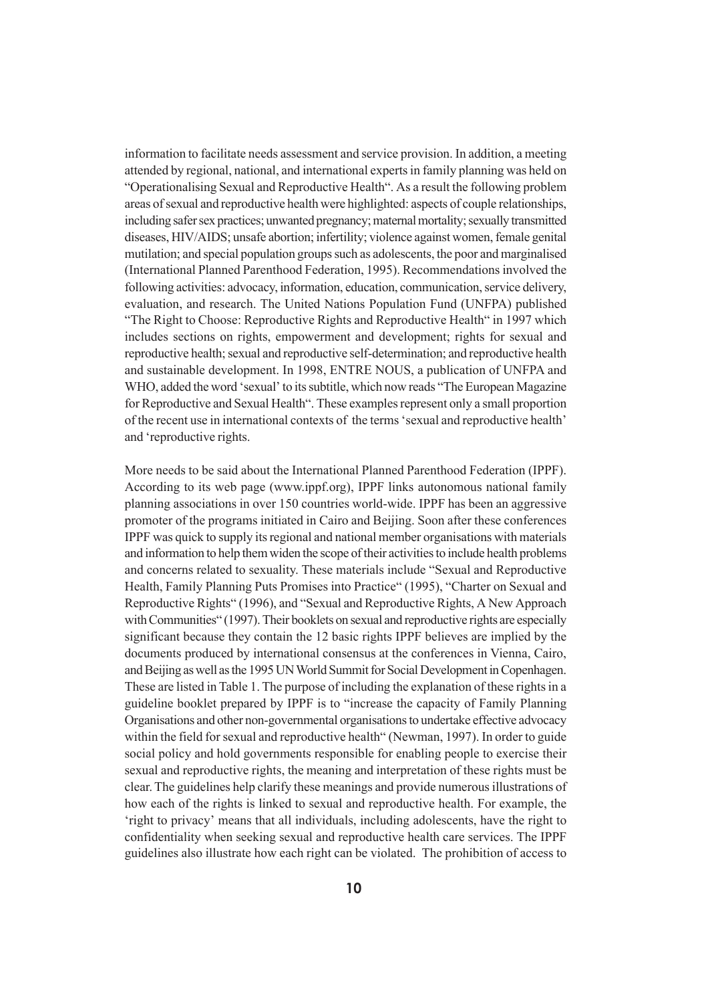information to facilitate needs assessment and service provision. In addition, a meeting attended by regional, national, and international experts in family planning was held on "Operationalising Sexual and Reproductive Health". As a result the following problem areas of sexual and reproductive health were highlighted: aspects of couple relationships, including safer sex practices; unwanted pregnancy; maternal mortality; sexually transmitted diseases, HIV/AIDS; unsafe abortion; infertility; violence against women, female genital mutilation; and special population groups such as adolescents, the poor and marginalised (International Planned Parenthood Federation, 1995). Recommendations involved the following activities: advocacy, information, education, communication, service delivery, evaluation, and research. The United Nations Population Fund (UNFPA) published "The Right to Choose: Reproductive Rights and Reproductive Health" in 1997 which includes sections on rights, empowerment and development; rights for sexual and reproductive health; sexual and reproductive self-determination; and reproductive health and sustainable development. In 1998, ENTRE NOUS, a publication of UNFPA and WHO, added the word 'sexual' to its subtitle, which now reads "The European Magazine for Reproductive and Sexual Health". These examples represent only a small proportion of the recent use in international contexts of the terms 'sexual and reproductive health' and 'reproductive rights.

More needs to be said about the International Planned Parenthood Federation (IPPF). According to its web page (www.ippf.org), IPPF links autonomous national family planning associations in over 150 countries world-wide. IPPF has been an aggressive promoter of the programs initiated in Cairo and Beijing. Soon after these conferences IPPF was quick to supply its regional and national member organisations with materials and information to help them widen the scope of their activities to include health problems and concerns related to sexuality. These materials include "Sexual and Reproductive Health, Family Planning Puts Promises into Practice" (1995), "Charter on Sexual and Reproductive Rights" (1996), and "Sexual and Reproductive Rights, A New Approach with Communities" (1997). Their booklets on sexual and reproductive rights are especially significant because they contain the 12 basic rights IPPF believes are implied by the documents produced by international consensus at the conferences in Vienna, Cairo, and Beijing as well as the 1995 UN World Summit for Social Development in Copenhagen. These are listed in Table 1. The purpose of including the explanation of these rights in a guideline booklet prepared by IPPF is to "increase the capacity of Family Planning Organisations and other non-governmental organisations to undertake effective advocacy within the field for sexual and reproductive health" (Newman, 1997). In order to guide social policy and hold governments responsible for enabling people to exercise their sexual and reproductive rights, the meaning and interpretation of these rights must be clear. The guidelines help clarify these meanings and provide numerous illustrations of how each of the rights is linked to sexual and reproductive health. For example, the 'right to privacy' means that all individuals, including adolescents, have the right to confidentiality when seeking sexual and reproductive health care services. The IPPF guidelines also illustrate how each right can be violated. The prohibition of access to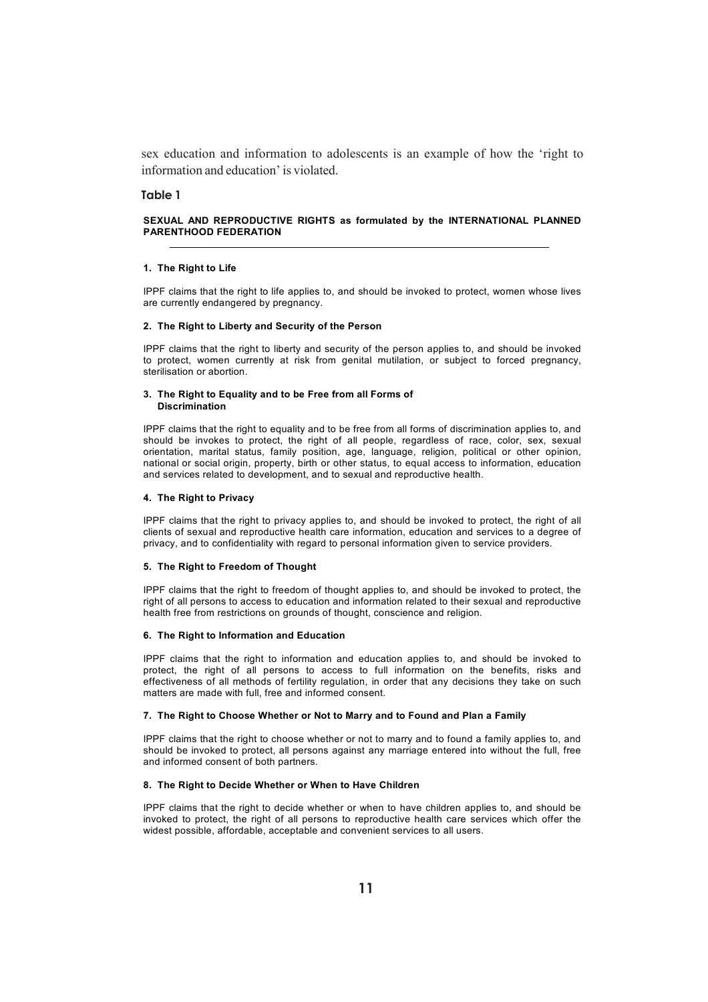sex education and information to adolescents is an example of how the 'right to information and education' is violated.

### **Table 1**

#### **SEXUAL AND REPRODUCTIVE RIGHTS as formulated by the INTERNATIONAL PLANNED PARENTHOOD FEDERATION**

#### **1. The Right to Life**

IPPF claims that the right to life applies to, and should be invoked to protect, women whose lives are currently endangered by pregnancy.

#### **2. The Right to Liberty and Security of the Person**

IPPF claims that the right to liberty and security of the person applies to, and should be invoked to protect, women currently at risk from genital mutilation, or subject to forced pregnancy, sterilisation or abortion.

#### **3. The Right to Equality and to be Free from all Forms of Discrimination**

IPPF claims that the right to equality and to be free from all forms of discrimination applies to, and should be invokes to protect, the right of all people, regardless of race, color, sex, sexual orientation, marital status, family position, age, language, religion, political or other opinion, national or social origin, property, birth or other status, to equal access to information, education and services related to development, and to sexual and reproductive health.

#### **4. The Right to Privacy**

IPPF claims that the right to privacy applies to, and should be invoked to protect, the right of all clients of sexual and reproductive health care information, education and services to a degree of privacy, and to confidentiality with regard to personal information given to service providers.

#### **5. The Right to Freedom of Thought**

IPPF claims that the right to freedom of thought applies to, and should be invoked to protect, the right of all persons to access to education and information related to their sexual and reproductive health free from restrictions on grounds of thought, conscience and religion.

#### **6. The Right to Information and Education**

IPPF claims that the right to information and education applies to, and should be invoked to protect, the right of all persons to access to full information on the benefits, risks and effectiveness of all methods of fertility regulation, in order that any decisions they take on such matters are made with full, free and informed consent.

#### **7. The Right to Choose Whether or Not to Marry and to Found and Plan a Family**

IPPF claims that the right to choose whether or not to marry and to found a family applies to, and should be invoked to protect, all persons against any marriage entered into without the full, free and informed consent of both partners.

#### **8. The Right to Decide Whether or When to Have Children**

IPPF claims that the right to decide whether or when to have children applies to, and should be invoked to protect, the right of all persons to reproductive health care services which offer the widest possible, affordable, acceptable and convenient services to all users.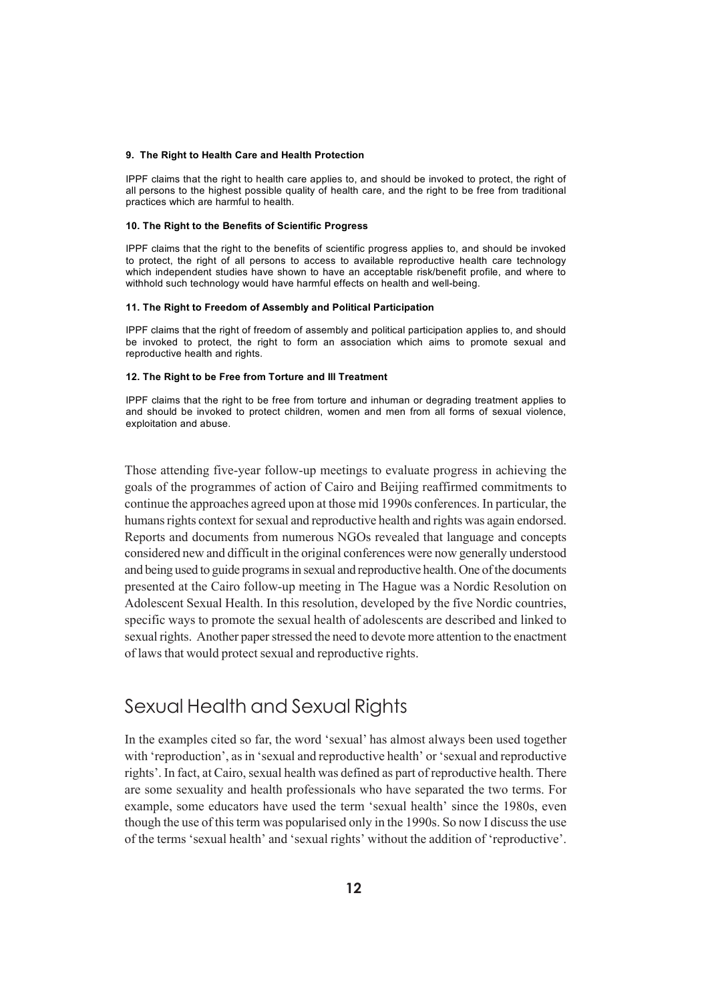#### **9. The Right to Health Care and Health Protection**

IPPF claims that the right to health care applies to, and should be invoked to protect, the right of all persons to the highest possible quality of health care, and the right to be free from traditional practices which are harmful to health.

#### **10. The Right to the Benefits of Scientific Progress**

IPPF claims that the right to the benefits of scientific progress applies to, and should be invoked to protect, the right of all persons to access to available reproductive health care technology which independent studies have shown to have an acceptable risk/benefit profile, and where to withhold such technology would have harmful effects on health and well-being.

#### **11. The Right to Freedom of Assembly and Political Participation**

IPPF claims that the right of freedom of assembly and political participation applies to, and should be invoked to protect, the right to form an association which aims to promote sexual and reproductive health and rights.

#### **12. The Right to be Free from Torture and Ill Treatment**

IPPF claims that the right to be free from torture and inhuman or degrading treatment applies to and should be invoked to protect children, women and men from all forms of sexual violence, exploitation and abuse.

Those attending five-year follow-up meetings to evaluate progress in achieving the goals of the programmes of action of Cairo and Beijing reaffirmed commitments to continue the approaches agreed upon at those mid 1990s conferences. In particular, the humans rights context for sexual and reproductive health and rights was again endorsed. Reports and documents from numerous NGOs revealed that language and concepts considered new and difficult in the original conferences were now generally understood and being used to guide programs in sexual and reproductive health. One of the documents presented at the Cairo follow-up meeting in The Hague was a Nordic Resolution on Adolescent Sexual Health. In this resolution, developed by the five Nordic countries, specific ways to promote the sexual health of adolescents are described and linked to sexual rights. Another paper stressed the need to devote more attention to the enactment of laws that would protect sexual and reproductive rights.

# Sexual Health and Sexual Rights

In the examples cited so far, the word 'sexual' has almost always been used together with 'reproduction', as in 'sexual and reproductive health' or 'sexual and reproductive rights'. In fact, at Cairo, sexual health was defined as part of reproductive health. There are some sexuality and health professionals who have separated the two terms. For example, some educators have used the term 'sexual health' since the 1980s, even though the use of this term was popularised only in the 1990s. So now I discuss the use of the terms 'sexual health' and 'sexual rights' without the addition of 'reproductive'.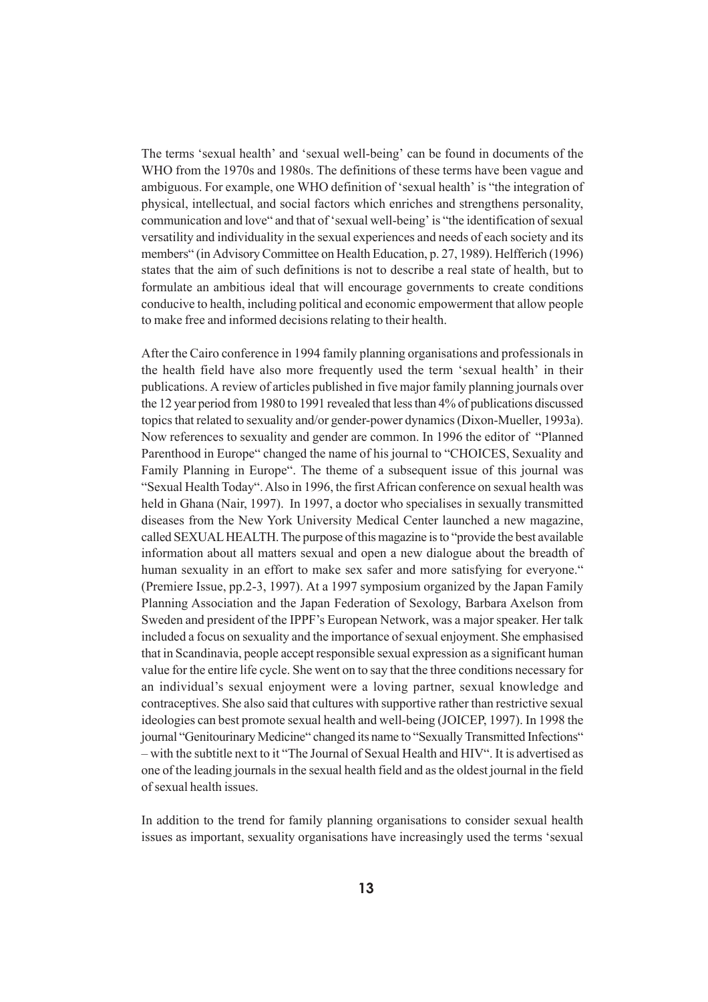The terms 'sexual health' and 'sexual well-being' can be found in documents of the WHO from the 1970s and 1980s. The definitions of these terms have been vague and ambiguous. For example, one WHO definition of 'sexual health' is "the integration of physical, intellectual, and social factors which enriches and strengthens personality, communication and love" and that of 'sexual well-being' is "the identification of sexual versatility and individuality in the sexual experiences and needs of each society and its members" (in Advisory Committee on Health Education, p. 27, 1989). Helfferich (1996) states that the aim of such definitions is not to describe a real state of health, but to formulate an ambitious ideal that will encourage governments to create conditions conducive to health, including political and economic empowerment that allow people to make free and informed decisions relating to their health.

After the Cairo conference in 1994 family planning organisations and professionals in the health field have also more frequently used the term 'sexual health' in their publications. A review of articles published in five major family planning journals over the 12 year period from 1980 to 1991 revealed that less than 4% of publications discussed topics that related to sexuality and/or gender-power dynamics (Dixon-Mueller, 1993a). Now references to sexuality and gender are common. In 1996 the editor of "Planned Parenthood in Europe" changed the name of his journal to "CHOICES, Sexuality and Family Planning in Europe". The theme of a subsequent issue of this journal was "Sexual Health Today". Also in 1996, the first African conference on sexual health was held in Ghana (Nair, 1997). In 1997, a doctor who specialises in sexually transmitted diseases from the New York University Medical Center launched a new magazine, called SEXUAL HEALTH. The purpose of this magazine is to "provide the best available information about all matters sexual and open a new dialogue about the breadth of human sexuality in an effort to make sex safer and more satisfying for everyone." (Premiere Issue, pp.2-3, 1997). At a 1997 symposium organized by the Japan Family Planning Association and the Japan Federation of Sexology, Barbara Axelson from Sweden and president of the IPPF's European Network, was a major speaker. Her talk included a focus on sexuality and the importance of sexual enjoyment. She emphasised that in Scandinavia, people accept responsible sexual expression as a significant human value for the entire life cycle. She went on to say that the three conditions necessary for an individual's sexual enjoyment were a loving partner, sexual knowledge and contraceptives. She also said that cultures with supportive rather than restrictive sexual ideologies can best promote sexual health and well-being (JOICEP, 1997). In 1998 the journal "Genitourinary Medicine" changed its name to "Sexually Transmitted Infections" – with the subtitle next to it "The Journal of Sexual Health and HIV". It is advertised as one of the leading journals in the sexual health field and as the oldest journal in the field of sexual health issues.

In addition to the trend for family planning organisations to consider sexual health issues as important, sexuality organisations have increasingly used the terms 'sexual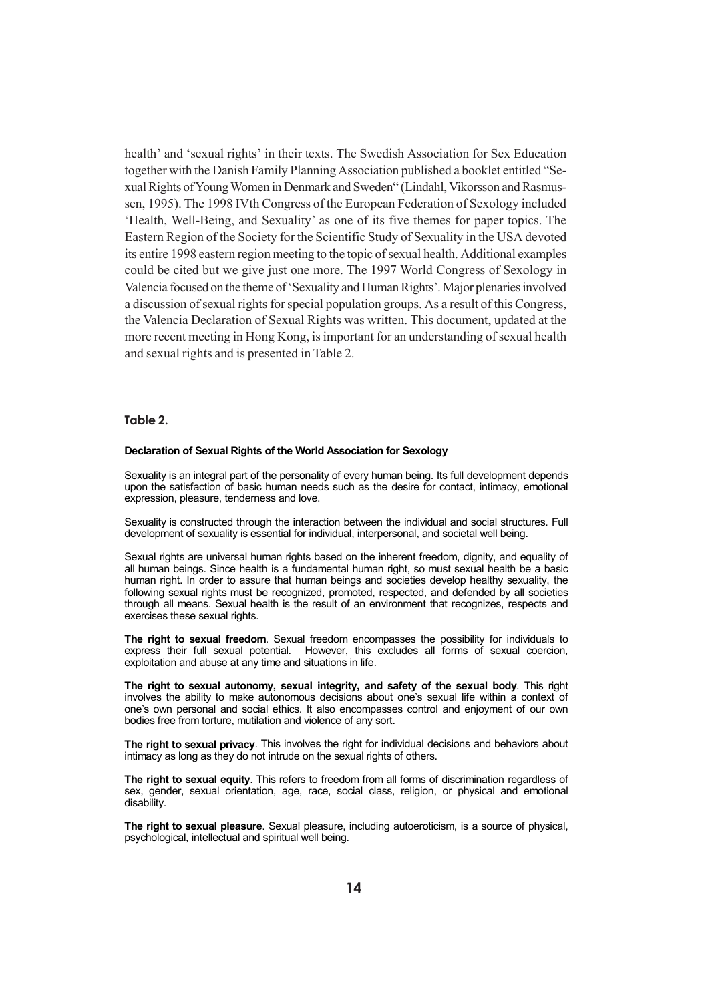health' and 'sexual rights' in their texts. The Swedish Association for Sex Education together with the Danish Family Planning Association published a booklet entitled "Sexual Rights of Young Women in Denmark and Sweden" (Lindahl, Vikorsson and Rasmussen, 1995). The 1998 IVth Congress of the European Federation of Sexology included 'Health, Well-Being, and Sexuality' as one of its five themes for paper topics. The Eastern Region of the Society for the Scientific Study of Sexuality in the USA devoted its entire 1998 eastern region meeting to the topic of sexual health. Additional examples could be cited but we give just one more. The 1997 World Congress of Sexology in Valencia focused on the theme of 'Sexuality and Human Rights'. Major plenaries involved a discussion of sexual rights for special population groups. As a result of this Congress, the Valencia Declaration of Sexual Rights was written. This document, updated at the more recent meeting in Hong Kong, is important for an understanding of sexual health and sexual rights and is presented in Table 2.

### **Table 2.**

### **Declaration of Sexual Rights of the World Association for Sexology**

Sexuality is an integral part of the personality of every human being. Its full development depends upon the satisfaction of basic human needs such as the desire for contact, intimacy, emotional expression, pleasure, tenderness and love.

Sexuality is constructed through the interaction between the individual and social structures. Full development of sexuality is essential for individual, interpersonal, and societal well being.

Sexual rights are universal human rights based on the inherent freedom, dignity, and equality of all human beings. Since health is a fundamental human right, so must sexual health be a basic human right. In order to assure that human beings and societies develop healthy sexuality, the following sexual rights must be recognized, promoted, respected, and defended by all societies through all means. Sexual health is the result of an environment that recognizes, respects and exercises these sexual rights.

**The right to sexual freedom**. Sexual freedom encompasses the possibility for individuals to express their full sexual potential. However, this excludes all forms of sexual coercion, exploitation and abuse at any time and situations in life.

**The right to sexual autonomy, sexual integrity, and safety of the sexual body**. This right involves the ability to make autonomous decisions about one's sexual life within a context of one's own personal and social ethics. It also encompasses control and enjoyment of our own bodies free from torture, mutilation and violence of any sort.

**The right to sexual privacy**. This involves the right for individual decisions and behaviors about intimacy as long as they do not intrude on the sexual rights of others.

**The right to sexual equity**. This refers to freedom from all forms of discrimination regardless of sex, gender, sexual orientation, age, race, social class, religion, or physical and emotional disability.

**The right to sexual pleasure**. Sexual pleasure, including autoeroticism, is a source of physical, psychological, intellectual and spiritual well being.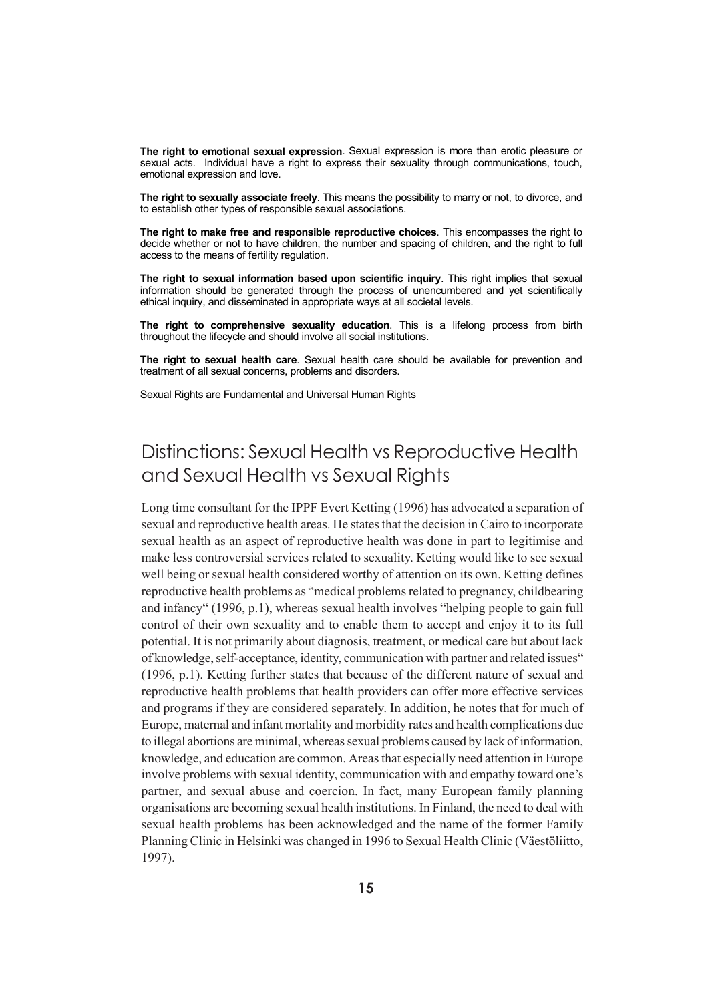**The right to emotional sexual expression**. Sexual expression is more than erotic pleasure or sexual acts. Individual have a right to express their sexuality through communications, touch, emotional expression and love.

**The right to sexually associate freely**. This means the possibility to marry or not, to divorce, and to establish other types of responsible sexual associations.

**The right to make free and responsible reproductive choices**. This encompasses the right to decide whether or not to have children, the number and spacing of children, and the right to full access to the means of fertility regulation.

**The right to sexual information based upon scientific inquiry**. This right implies that sexual information should be generated through the process of unencumbered and yet scientifically ethical inquiry, and disseminated in appropriate ways at all societal levels.

**The right to comprehensive sexuality education**. This is a lifelong process from birth throughout the lifecycle and should involve all social institutions.

**The right to sexual health care**. Sexual health care should be available for prevention and treatment of all sexual concerns, problems and disorders.

Sexual Rights are Fundamental and Universal Human Rights

# Distinctions: Sexual Health vs Reproductive Health and Sexual Health vs Sexual Rights

Long time consultant for the IPPF Evert Ketting (1996) has advocated a separation of sexual and reproductive health areas. He states that the decision in Cairo to incorporate sexual health as an aspect of reproductive health was done in part to legitimise and make less controversial services related to sexuality. Ketting would like to see sexual well being or sexual health considered worthy of attention on its own. Ketting defines reproductive health problems as "medical problems related to pregnancy, childbearing and infancy" (1996, p.1), whereas sexual health involves "helping people to gain full control of their own sexuality and to enable them to accept and enjoy it to its full potential. It is not primarily about diagnosis, treatment, or medical care but about lack of knowledge, self-acceptance, identity, communication with partner and related issues" (1996, p.1). Ketting further states that because of the different nature of sexual and reproductive health problems that health providers can offer more effective services and programs if they are considered separately. In addition, he notes that for much of Europe, maternal and infant mortality and morbidity rates and health complications due to illegal abortions are minimal, whereas sexual problems caused by lack of information, knowledge, and education are common. Areas that especially need attention in Europe involve problems with sexual identity, communication with and empathy toward one's partner, and sexual abuse and coercion. In fact, many European family planning organisations are becoming sexual health institutions. In Finland, the need to deal with sexual health problems has been acknowledged and the name of the former Family Planning Clinic in Helsinki was changed in 1996 to Sexual Health Clinic (Väestöliitto, 1997).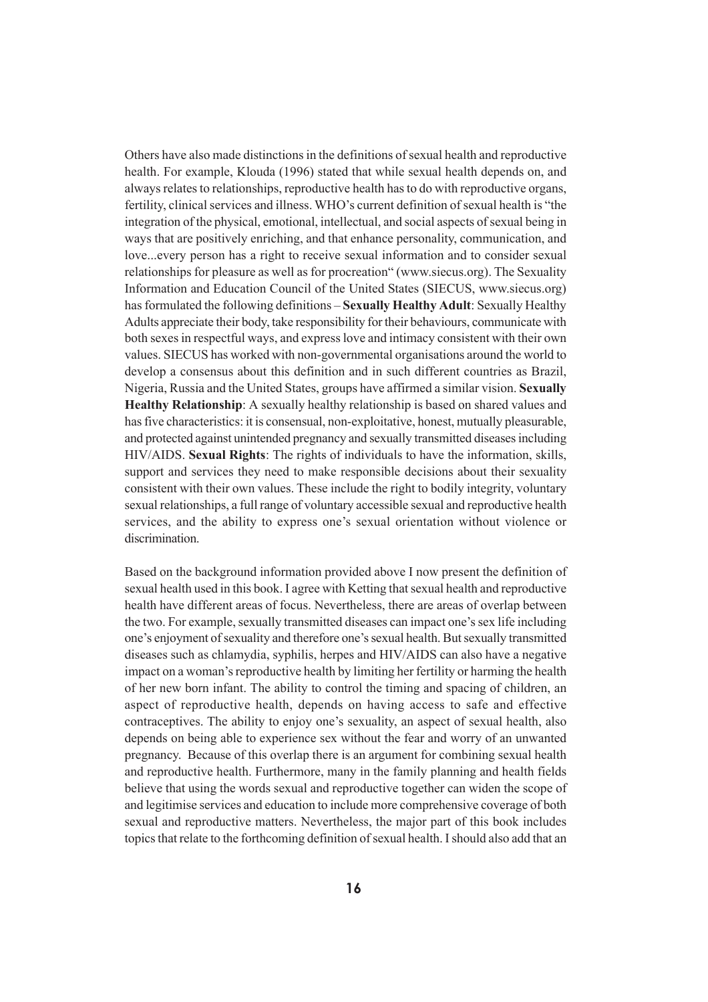Others have also made distinctions in the definitions of sexual health and reproductive health. For example, Klouda (1996) stated that while sexual health depends on, and always relates to relationships, reproductive health has to do with reproductive organs, fertility, clinical services and illness. WHO's current definition of sexual health is "the integration of the physical, emotional, intellectual, and social aspects of sexual being in ways that are positively enriching, and that enhance personality, communication, and love...every person has a right to receive sexual information and to consider sexual relationships for pleasure as well as for procreation" (www.siecus.org). The Sexuality Information and Education Council of the United States (SIECUS, www.siecus.org) has formulated the following definitions – **Sexually Healthy Adult**: Sexually Healthy Adults appreciate their body, take responsibility for their behaviours, communicate with both sexes in respectful ways, and express love and intimacy consistent with their own values. SIECUS has worked with non-governmental organisations around the world to develop a consensus about this definition and in such different countries as Brazil, Nigeria, Russia and the United States, groups have affirmed a similar vision. **Sexually Healthy Relationship**: A sexually healthy relationship is based on shared values and has five characteristics: it is consensual, non-exploitative, honest, mutually pleasurable, and protected against unintended pregnancy and sexually transmitted diseases including HIV/AIDS. **Sexual Rights**: The rights of individuals to have the information, skills, support and services they need to make responsible decisions about their sexuality consistent with their own values. These include the right to bodily integrity, voluntary sexual relationships, a full range of voluntary accessible sexual and reproductive health services, and the ability to express one's sexual orientation without violence or discrimination.

Based on the background information provided above I now present the definition of sexual health used in this book. I agree with Ketting that sexual health and reproductive health have different areas of focus. Nevertheless, there are areas of overlap between the two. For example, sexually transmitted diseases can impact one's sex life including one's enjoyment of sexuality and therefore one's sexual health. But sexually transmitted diseases such as chlamydia, syphilis, herpes and HIV/AIDS can also have a negative impact on a woman's reproductive health by limiting her fertility or harming the health of her new born infant. The ability to control the timing and spacing of children, an aspect of reproductive health, depends on having access to safe and effective contraceptives. The ability to enjoy one's sexuality, an aspect of sexual health, also depends on being able to experience sex without the fear and worry of an unwanted pregnancy. Because of this overlap there is an argument for combining sexual health and reproductive health. Furthermore, many in the family planning and health fields believe that using the words sexual and reproductive together can widen the scope of and legitimise services and education to include more comprehensive coverage of both sexual and reproductive matters. Nevertheless, the major part of this book includes topics that relate to the forthcoming definition of sexual health. I should also add that an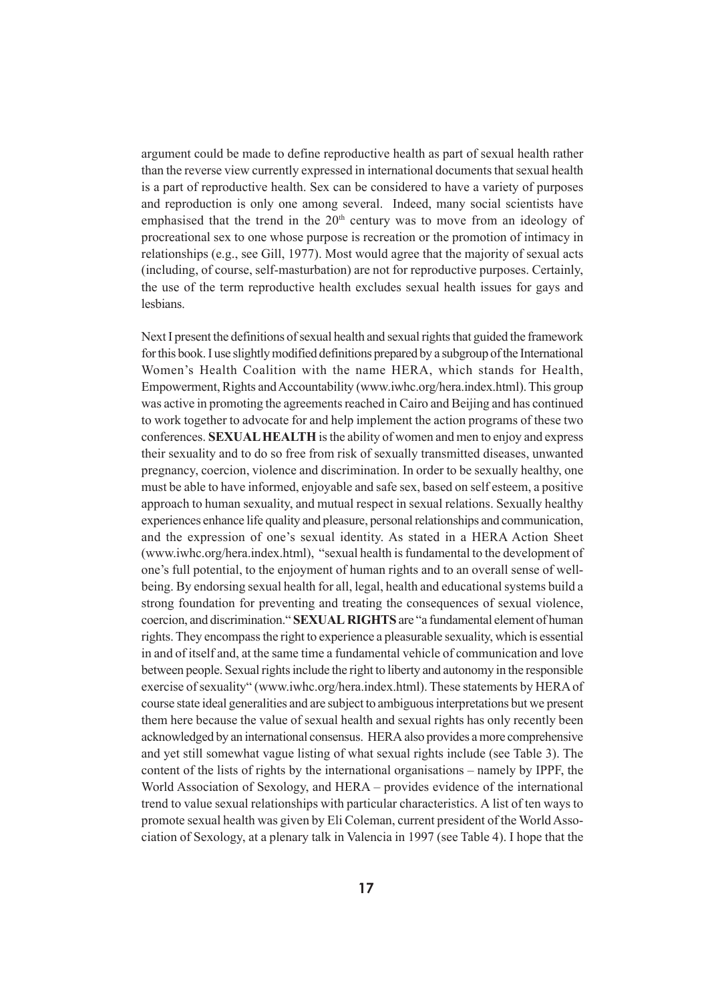argument could be made to define reproductive health as part of sexual health rather than the reverse view currently expressed in international documents that sexual health is a part of reproductive health. Sex can be considered to have a variety of purposes and reproduction is only one among several. Indeed, many social scientists have emphasised that the trend in the  $20<sup>th</sup>$  century was to move from an ideology of procreational sex to one whose purpose is recreation or the promotion of intimacy in relationships (e.g., see Gill, 1977). Most would agree that the majority of sexual acts (including, of course, self-masturbation) are not for reproductive purposes. Certainly, the use of the term reproductive health excludes sexual health issues for gays and lesbians.

Next I present the definitions of sexual health and sexual rights that guided the framework for this book. I use slightly modified definitions prepared by a subgroup of the International Women's Health Coalition with the name HERA, which stands for Health, Empowerment, Rights and Accountability (www.iwhc.org/hera.index.html). This group was active in promoting the agreements reached in Cairo and Beijing and has continued to work together to advocate for and help implement the action programs of these two conferences. **SEXUAL HEALTH** is the ability of women and men to enjoy and express their sexuality and to do so free from risk of sexually transmitted diseases, unwanted pregnancy, coercion, violence and discrimination. In order to be sexually healthy, one must be able to have informed, enjoyable and safe sex, based on self esteem, a positive approach to human sexuality, and mutual respect in sexual relations. Sexually healthy experiences enhance life quality and pleasure, personal relationships and communication, and the expression of one's sexual identity. As stated in a HERA Action Sheet (www.iwhc.org/hera.index.html), "sexual health is fundamental to the development of one's full potential, to the enjoyment of human rights and to an overall sense of wellbeing. By endorsing sexual health for all, legal, health and educational systems build a strong foundation for preventing and treating the consequences of sexual violence, coercion, and discrimination." **SEXUAL RIGHTS** are "a fundamental element of human rights. They encompass the right to experience a pleasurable sexuality, which is essential in and of itself and, at the same time a fundamental vehicle of communication and love between people. Sexual rights include the right to liberty and autonomy in the responsible exercise of sexuality" (www.iwhc.org/hera.index.html). These statements by HERA of course state ideal generalities and are subject to ambiguous interpretations but we present them here because the value of sexual health and sexual rights has only recently been acknowledged by an international consensus. HERA also provides a more comprehensive and yet still somewhat vague listing of what sexual rights include (see Table 3). The content of the lists of rights by the international organisations – namely by IPPF, the World Association of Sexology, and HERA – provides evidence of the international trend to value sexual relationships with particular characteristics. A list of ten ways to promote sexual health was given by Eli Coleman, current president of the World Association of Sexology, at a plenary talk in Valencia in 1997 (see Table 4). I hope that the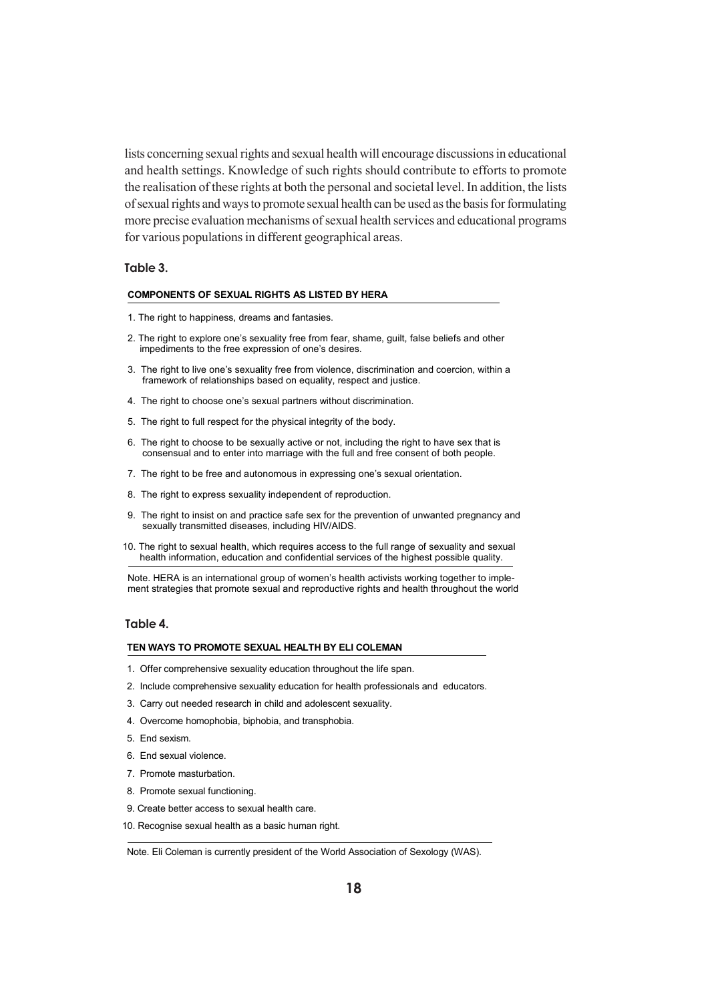lists concerning sexual rights and sexual health will encourage discussions in educational and health settings. Knowledge of such rights should contribute to efforts to promote the realisation of these rights at both the personal and societal level. In addition, the lists of sexual rights and ways to promote sexual health can be used as the basis for formulating more precise evaluation mechanisms of sexual health services and educational programs for various populations in different geographical areas.

### **Table 3.**

#### **COMPONENTS OF SEXUAL RIGHTS AS LISTED BY HERA**

- 1. The right to happiness, dreams and fantasies.
- 2. The right to explore one's sexuality free from fear, shame, guilt, false beliefs and other impediments to the free expression of one's desires.
- 3. The right to live one's sexuality free from violence, discrimination and coercion, within a framework of relationships based on equality, respect and justice.
- 4. The right to choose one's sexual partners without discrimination.
- 5. The right to full respect for the physical integrity of the body.
- 6. The right to choose to be sexually active or not, including the right to have sex that is consensual and to enter into marriage with the full and free consent of both people.
- 7. The right to be free and autonomous in expressing one's sexual orientation.
- 8. The right to express sexuality independent of reproduction.
- 9. The right to insist on and practice safe sex for the prevention of unwanted pregnancy and sexually transmitted diseases, including HIV/AIDS.
- 10. The right to sexual health, which requires access to the full range of sexuality and sexual health information, education and confidential services of the highest possible quality.

Note. HERA is an international group of women's health activists working together to implement strategies that promote sexual and reproductive rights and health throughout the world

### **Table 4.**

### **TEN WAYS TO PROMOTE SEXUAL HEALTH BY ELI COLEMAN**

- 1. Offer comprehensive sexuality education throughout the life span.
- 2. Include comprehensive sexuality education for health professionals and educators.
- 3. Carry out needed research in child and adolescent sexuality.
- 4. Overcome homophobia, biphobia, and transphobia.
- 5. End sexism.
- 6. End sexual violence.
- 7. Promote masturbation.
- 8. Promote sexual functioning.
- 9. Create better access to sexual health care.
- 10. Recognise sexual health as a basic human right.

Note. Eli Coleman is currently president of the World Association of Sexology (WAS).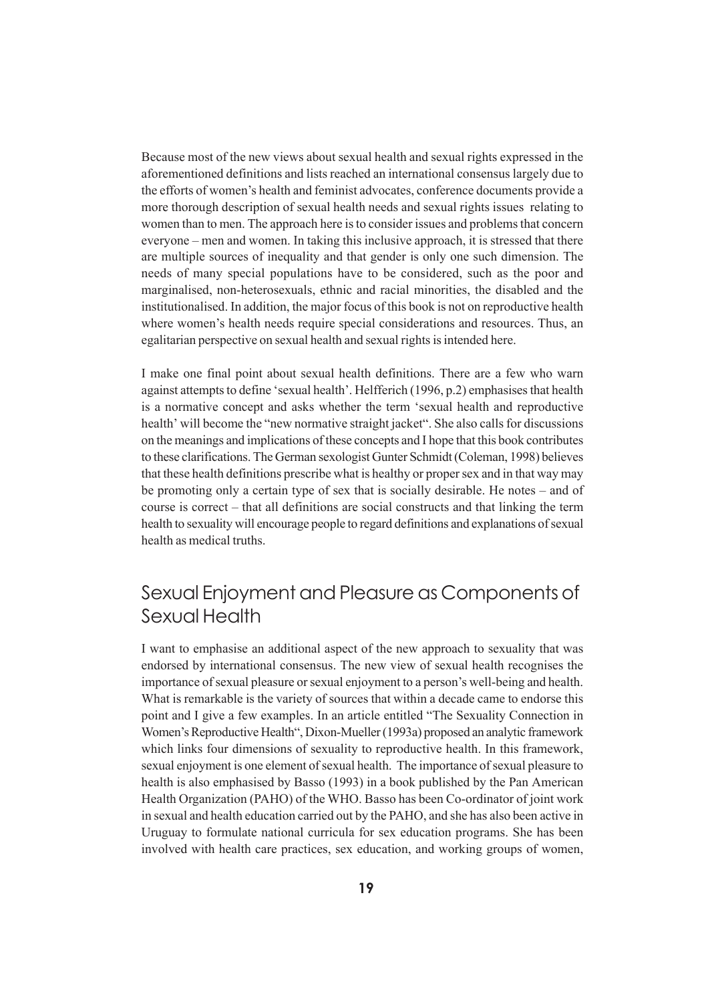Because most of the new views about sexual health and sexual rights expressed in the aforementioned definitions and lists reached an international consensus largely due to the efforts of women's health and feminist advocates, conference documents provide a more thorough description of sexual health needs and sexual rights issues relating to women than to men. The approach here is to consider issues and problems that concern everyone – men and women. In taking this inclusive approach, it is stressed that there are multiple sources of inequality and that gender is only one such dimension. The needs of many special populations have to be considered, such as the poor and marginalised, non-heterosexuals, ethnic and racial minorities, the disabled and the institutionalised. In addition, the major focus of this book is not on reproductive health where women's health needs require special considerations and resources. Thus, an egalitarian perspective on sexual health and sexual rights is intended here.

I make one final point about sexual health definitions. There are a few who warn against attempts to define 'sexual health'. Helfferich (1996, p.2) emphasises that health is a normative concept and asks whether the term 'sexual health and reproductive health' will become the "new normative straight jacket". She also calls for discussions on the meanings and implications of these concepts and I hope that this book contributes to these clarifications. The German sexologist Gunter Schmidt (Coleman, 1998) believes that these health definitions prescribe what is healthy or proper sex and in that way may be promoting only a certain type of sex that is socially desirable. He notes – and of course is correct – that all definitions are social constructs and that linking the term health to sexuality will encourage people to regard definitions and explanations of sexual health as medical truths.

# Sexual Enjoyment and Pleasure as Components of Sexual Health

I want to emphasise an additional aspect of the new approach to sexuality that was endorsed by international consensus. The new view of sexual health recognises the importance of sexual pleasure or sexual enjoyment to a person's well-being and health. What is remarkable is the variety of sources that within a decade came to endorse this point and I give a few examples. In an article entitled "The Sexuality Connection in Women's Reproductive Health", Dixon-Mueller (1993a) proposed an analytic framework which links four dimensions of sexuality to reproductive health. In this framework, sexual enjoyment is one element of sexual health. The importance of sexual pleasure to health is also emphasised by Basso (1993) in a book published by the Pan American Health Organization (PAHO) of the WHO. Basso has been Co-ordinator of joint work in sexual and health education carried out by the PAHO, and she has also been active in Uruguay to formulate national curricula for sex education programs. She has been involved with health care practices, sex education, and working groups of women,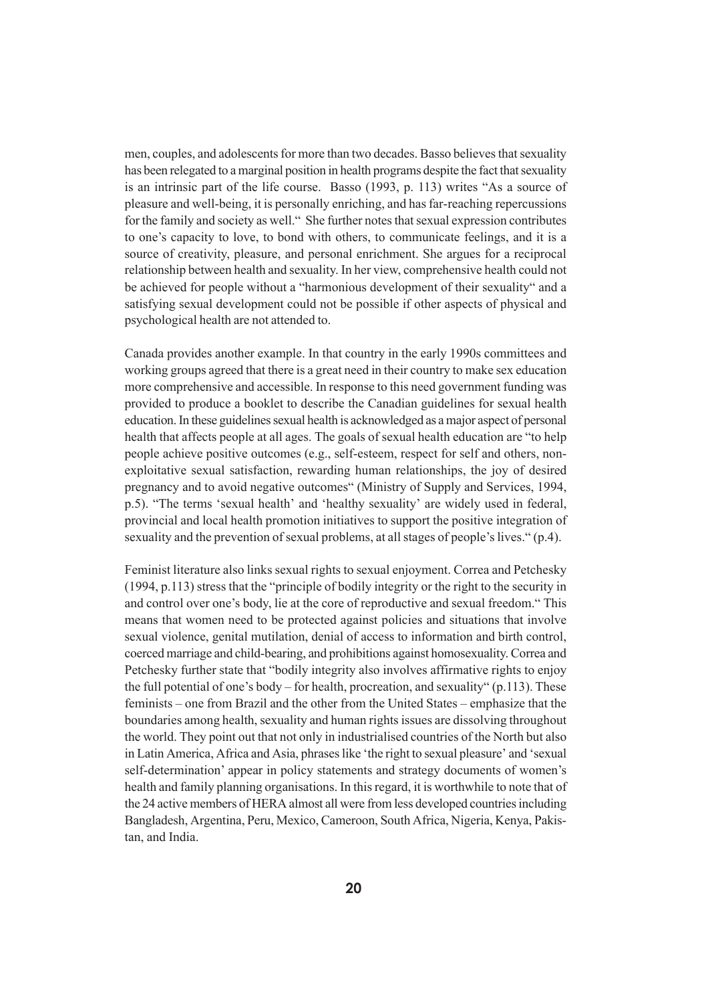men, couples, and adolescents for more than two decades. Basso believes that sexuality has been relegated to a marginal position in health programs despite the fact that sexuality is an intrinsic part of the life course. Basso (1993, p. 113) writes "As a source of pleasure and well-being, it is personally enriching, and has far-reaching repercussions for the family and society as well." She further notes that sexual expression contributes to one's capacity to love, to bond with others, to communicate feelings, and it is a source of creativity, pleasure, and personal enrichment. She argues for a reciprocal relationship between health and sexuality. In her view, comprehensive health could not be achieved for people without a "harmonious development of their sexuality" and a satisfying sexual development could not be possible if other aspects of physical and psychological health are not attended to.

Canada provides another example. In that country in the early 1990s committees and working groups agreed that there is a great need in their country to make sex education more comprehensive and accessible. In response to this need government funding was provided to produce a booklet to describe the Canadian guidelines for sexual health education. In these guidelines sexual health is acknowledged as a major aspect of personal health that affects people at all ages. The goals of sexual health education are "to help people achieve positive outcomes (e.g., self-esteem, respect for self and others, nonexploitative sexual satisfaction, rewarding human relationships, the joy of desired pregnancy and to avoid negative outcomes" (Ministry of Supply and Services, 1994, p.5). "The terms 'sexual health' and 'healthy sexuality' are widely used in federal, provincial and local health promotion initiatives to support the positive integration of sexuality and the prevention of sexual problems, at all stages of people's lives." (p.4).

Feminist literature also links sexual rights to sexual enjoyment. Correa and Petchesky (1994, p.113) stress that the "principle of bodily integrity or the right to the security in and control over one's body, lie at the core of reproductive and sexual freedom." This means that women need to be protected against policies and situations that involve sexual violence, genital mutilation, denial of access to information and birth control, coerced marriage and child-bearing, and prohibitions against homosexuality. Correa and Petchesky further state that "bodily integrity also involves affirmative rights to enjoy the full potential of one's body – for health, procreation, and sexuality" (p.113). These feminists – one from Brazil and the other from the United States – emphasize that the boundaries among health, sexuality and human rights issues are dissolving throughout the world. They point out that not only in industrialised countries of the North but also in Latin America, Africa and Asia, phrases like 'the right to sexual pleasure' and 'sexual self-determination' appear in policy statements and strategy documents of women's health and family planning organisations. In this regard, it is worthwhile to note that of the 24 active members of HERA almost all were from less developed countries including Bangladesh, Argentina, Peru, Mexico, Cameroon, South Africa, Nigeria, Kenya, Pakistan, and India.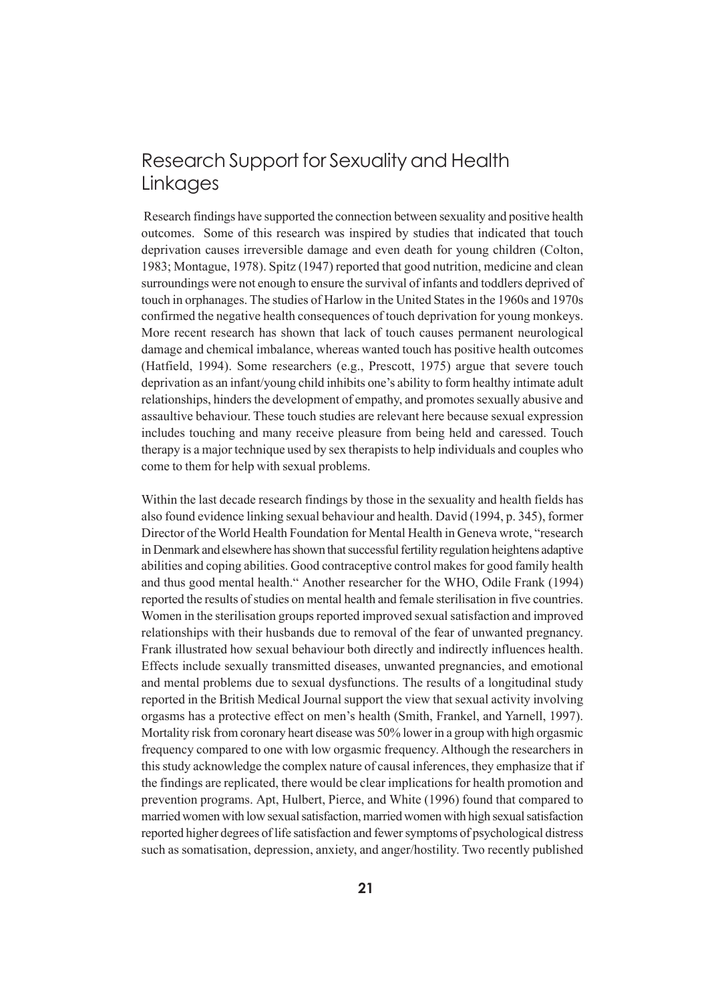# Research Support for Sexuality and Health Linkages

 Research findings have supported the connection between sexuality and positive health outcomes. Some of this research was inspired by studies that indicated that touch deprivation causes irreversible damage and even death for young children (Colton, 1983; Montague, 1978). Spitz (1947) reported that good nutrition, medicine and clean surroundings were not enough to ensure the survival of infants and toddlers deprived of touch in orphanages. The studies of Harlow in the United States in the 1960s and 1970s confirmed the negative health consequences of touch deprivation for young monkeys. More recent research has shown that lack of touch causes permanent neurological damage and chemical imbalance, whereas wanted touch has positive health outcomes (Hatfield, 1994). Some researchers (e.g., Prescott, 1975) argue that severe touch deprivation as an infant/young child inhibits one's ability to form healthy intimate adult relationships, hinders the development of empathy, and promotes sexually abusive and assaultive behaviour. These touch studies are relevant here because sexual expression includes touching and many receive pleasure from being held and caressed. Touch therapy is a major technique used by sex therapists to help individuals and couples who come to them for help with sexual problems.

Within the last decade research findings by those in the sexuality and health fields has also found evidence linking sexual behaviour and health. David (1994, p. 345), former Director of the World Health Foundation for Mental Health in Geneva wrote, "research in Denmark and elsewhere has shown that successful fertility regulation heightens adaptive abilities and coping abilities. Good contraceptive control makes for good family health and thus good mental health." Another researcher for the WHO, Odile Frank (1994) reported the results of studies on mental health and female sterilisation in five countries. Women in the sterilisation groups reported improved sexual satisfaction and improved relationships with their husbands due to removal of the fear of unwanted pregnancy. Frank illustrated how sexual behaviour both directly and indirectly influences health. Effects include sexually transmitted diseases, unwanted pregnancies, and emotional and mental problems due to sexual dysfunctions. The results of a longitudinal study reported in the British Medical Journal support the view that sexual activity involving orgasms has a protective effect on men's health (Smith, Frankel, and Yarnell, 1997). Mortality risk from coronary heart disease was 50% lower in a group with high orgasmic frequency compared to one with low orgasmic frequency. Although the researchers in this study acknowledge the complex nature of causal inferences, they emphasize that if the findings are replicated, there would be clear implications for health promotion and prevention programs. Apt, Hulbert, Pierce, and White (1996) found that compared to married women with low sexual satisfaction, married women with high sexual satisfaction reported higher degrees of life satisfaction and fewer symptoms of psychological distress such as somatisation, depression, anxiety, and anger/hostility. Two recently published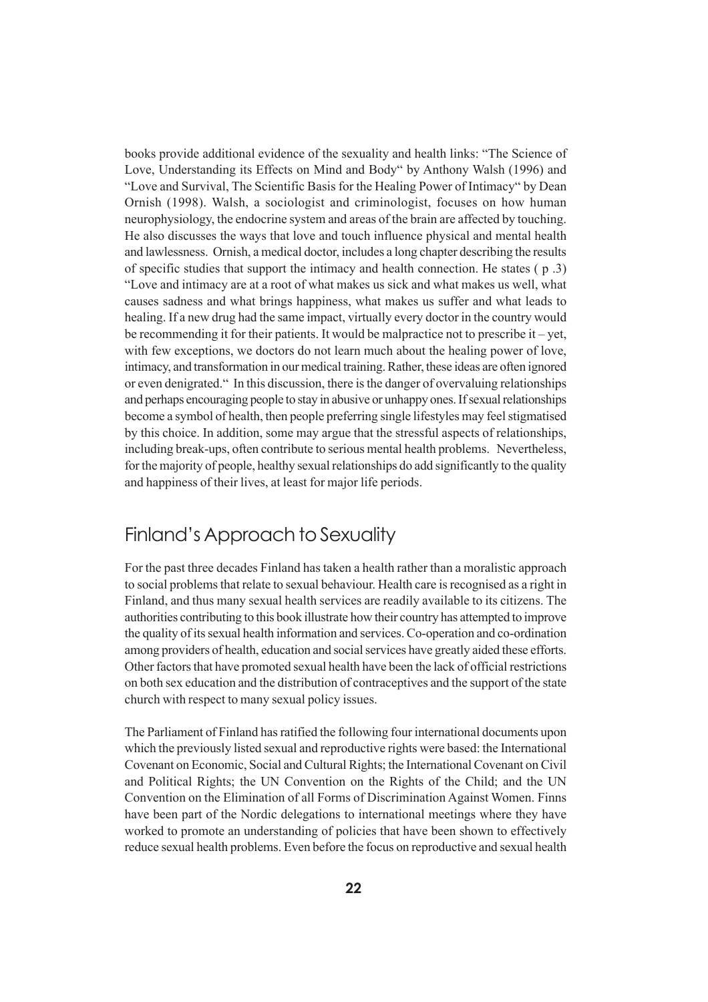books provide additional evidence of the sexuality and health links: "The Science of Love, Understanding its Effects on Mind and Body" by Anthony Walsh (1996) and "Love and Survival, The Scientific Basis for the Healing Power of Intimacy" by Dean Ornish (1998). Walsh, a sociologist and criminologist, focuses on how human neurophysiology, the endocrine system and areas of the brain are affected by touching. He also discusses the ways that love and touch influence physical and mental health and lawlessness. Ornish, a medical doctor, includes a long chapter describing the results of specific studies that support the intimacy and health connection. He states ( p .3) "Love and intimacy are at a root of what makes us sick and what makes us well, what causes sadness and what brings happiness, what makes us suffer and what leads to healing. If a new drug had the same impact, virtually every doctor in the country would be recommending it for their patients. It would be malpractice not to prescribe it – yet, with few exceptions, we doctors do not learn much about the healing power of love. intimacy, and transformation in our medical training. Rather, these ideas are often ignored or even denigrated." In this discussion, there is the danger of overvaluing relationships and perhaps encouraging people to stay in abusive or unhappy ones. If sexual relationships become a symbol of health, then people preferring single lifestyles may feel stigmatised by this choice. In addition, some may argue that the stressful aspects of relationships, including break-ups, often contribute to serious mental health problems. Nevertheless, for the majority of people, healthy sexual relationships do add significantly to the quality and happiness of their lives, at least for major life periods.

# Finland's Approach to Sexuality

For the past three decades Finland has taken a health rather than a moralistic approach to social problems that relate to sexual behaviour. Health care is recognised as a right in Finland, and thus many sexual health services are readily available to its citizens. The authorities contributing to this book illustrate how their country has attempted to improve the quality of its sexual health information and services. Co-operation and co-ordination among providers of health, education and social services have greatly aided these efforts. Other factors that have promoted sexual health have been the lack of official restrictions on both sex education and the distribution of contraceptives and the support of the state church with respect to many sexual policy issues.

The Parliament of Finland has ratified the following four international documents upon which the previously listed sexual and reproductive rights were based: the International Covenant on Economic, Social and Cultural Rights; the International Covenant on Civil and Political Rights; the UN Convention on the Rights of the Child; and the UN Convention on the Elimination of all Forms of Discrimination Against Women. Finns have been part of the Nordic delegations to international meetings where they have worked to promote an understanding of policies that have been shown to effectively reduce sexual health problems. Even before the focus on reproductive and sexual health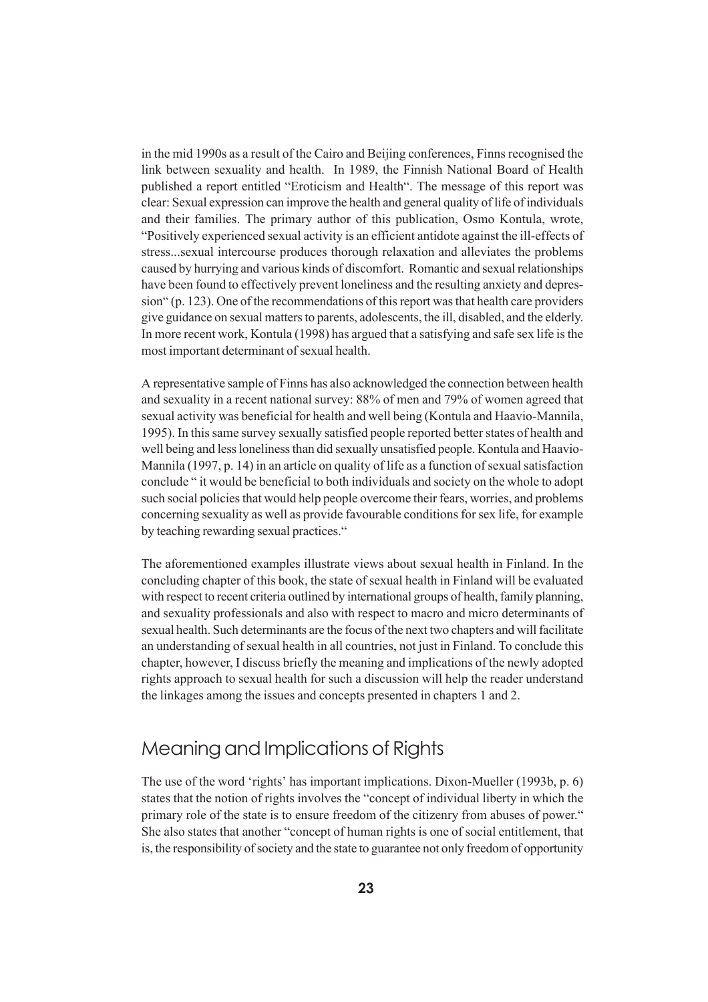in the mid 1990s as a result of the Cairo and Beijing conferences, Finns recognised the link between sexuality and health. In 1989, the Finnish National Board of Health published a report entitled "Eroticism and Health". The message of this report was clear: Sexual expression can improve the health and general quality of life of individuals and their families. The primary author of this publication, Osmo Kontula, wrote, "Positively experienced sexual activity is an efficient antidote against the ill-effects of stress...sexual intercourse produces thorough relaxation and alleviates the problems caused by hurrying and various kinds of discomfort. Romantic and sexual relationships have been found to effectively prevent loneliness and the resulting anxiety and depression" (p. 123). One of the recommendations of this report was that health care providers give guidance on sexual matters to parents, adolescents, the ill, disabled, and the elderly. In more recent work, Kontula (1998) has argued that a satisfying and safe sex life is the most important determinant of sexual health.

A representative sample of Finns has also acknowledged the connection between health and sexuality in a recent national survey: 88% of men and 79% of women agreed that sexual activity was beneficial for health and well being (Kontula and Haavio-Mannila, 1995). In this same survey sexually satisfied people reported better states of health and well being and less loneliness than did sexually unsatisfied people. Kontula and Haavio-Mannila (1997, p. 14) in an article on quality of life as a function of sexual satisfaction conclude " it would be beneficial to both individuals and society on the whole to adopt such social policies that would help people overcome their fears, worries, and problems concerning sexuality as well as provide favourable conditions for sex life, for example by teaching rewarding sexual practices."

The aforementioned examples illustrate views about sexual health in Finland. In the concluding chapter of this book, the state of sexual health in Finland will be evaluated with respect to recent criteria outlined by international groups of health, family planning, and sexuality professionals and also with respect to macro and micro determinants of sexual health. Such determinants are the focus of the next two chapters and will facilitate an understanding of sexual health in all countries, not just in Finland. To conclude this chapter, however, I discuss briefly the meaning and implications of the newly adopted rights approach to sexual health for such a discussion will help the reader understand the linkages among the issues and concepts presented in chapters 1 and 2.

# Meaning and Implications of Rights

The use of the word 'rights' has important implications. Dixon-Mueller (1993b, p. 6) states that the notion of rights involves the "concept of individual liberty in which the primary role of the state is to ensure freedom of the citizenry from abuses of power." She also states that another "concept of human rights is one of social entitlement, that is, the responsibility of society and the state to guarantee not only freedom of opportunity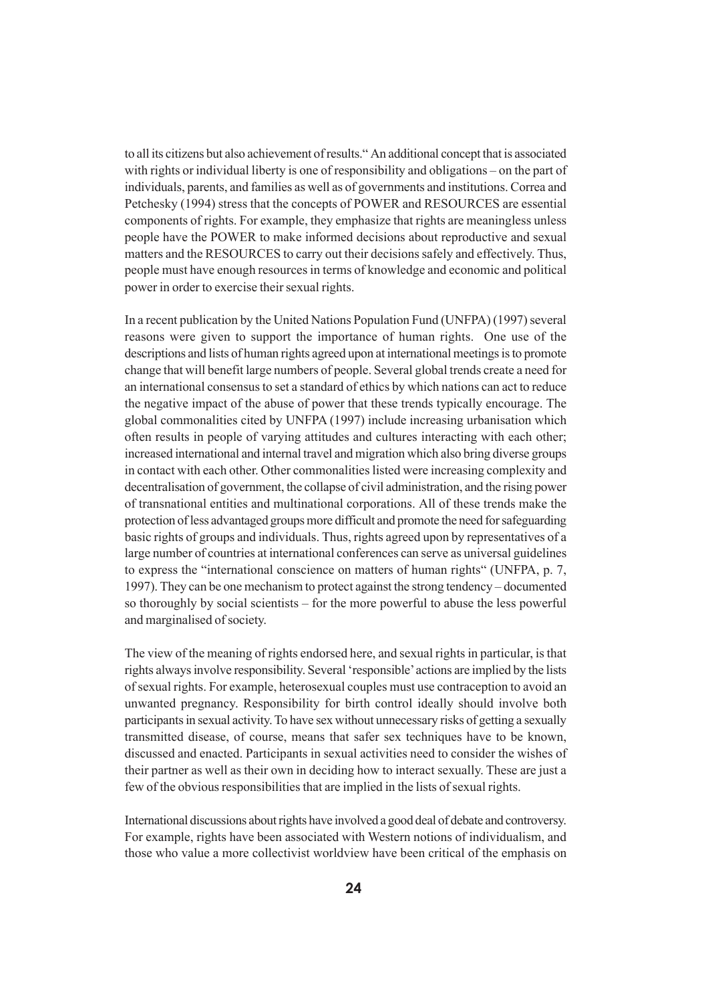to all its citizens but also achievement of results." An additional concept that is associated with rights or individual liberty is one of responsibility and obligations – on the part of individuals, parents, and families as well as of governments and institutions. Correa and Petchesky (1994) stress that the concepts of POWER and RESOURCES are essential components of rights. For example, they emphasize that rights are meaningless unless people have the POWER to make informed decisions about reproductive and sexual matters and the RESOURCES to carry out their decisions safely and effectively. Thus, people must have enough resources in terms of knowledge and economic and political power in order to exercise their sexual rights.

In a recent publication by the United Nations Population Fund (UNFPA) (1997) several reasons were given to support the importance of human rights. One use of the descriptions and lists of human rights agreed upon at international meetings is to promote change that will benefit large numbers of people. Several global trends create a need for an international consensus to set a standard of ethics by which nations can act to reduce the negative impact of the abuse of power that these trends typically encourage. The global commonalities cited by UNFPA (1997) include increasing urbanisation which often results in people of varying attitudes and cultures interacting with each other; increased international and internal travel and migration which also bring diverse groups in contact with each other. Other commonalities listed were increasing complexity and decentralisation of government, the collapse of civil administration, and the rising power of transnational entities and multinational corporations. All of these trends make the protection of less advantaged groups more difficult and promote the need for safeguarding basic rights of groups and individuals. Thus, rights agreed upon by representatives of a large number of countries at international conferences can serve as universal guidelines to express the "international conscience on matters of human rights" (UNFPA, p. 7, 1997). They can be one mechanism to protect against the strong tendency – documented so thoroughly by social scientists – for the more powerful to abuse the less powerful and marginalised of society.

The view of the meaning of rights endorsed here, and sexual rights in particular, is that rights always involve responsibility. Several 'responsible' actions are implied by the lists of sexual rights. For example, heterosexual couples must use contraception to avoid an unwanted pregnancy. Responsibility for birth control ideally should involve both participants in sexual activity. To have sex without unnecessary risks of getting a sexually transmitted disease, of course, means that safer sex techniques have to be known, discussed and enacted. Participants in sexual activities need to consider the wishes of their partner as well as their own in deciding how to interact sexually. These are just a few of the obvious responsibilities that are implied in the lists of sexual rights.

International discussions about rights have involved a good deal of debate and controversy. For example, rights have been associated with Western notions of individualism, and those who value a more collectivist worldview have been critical of the emphasis on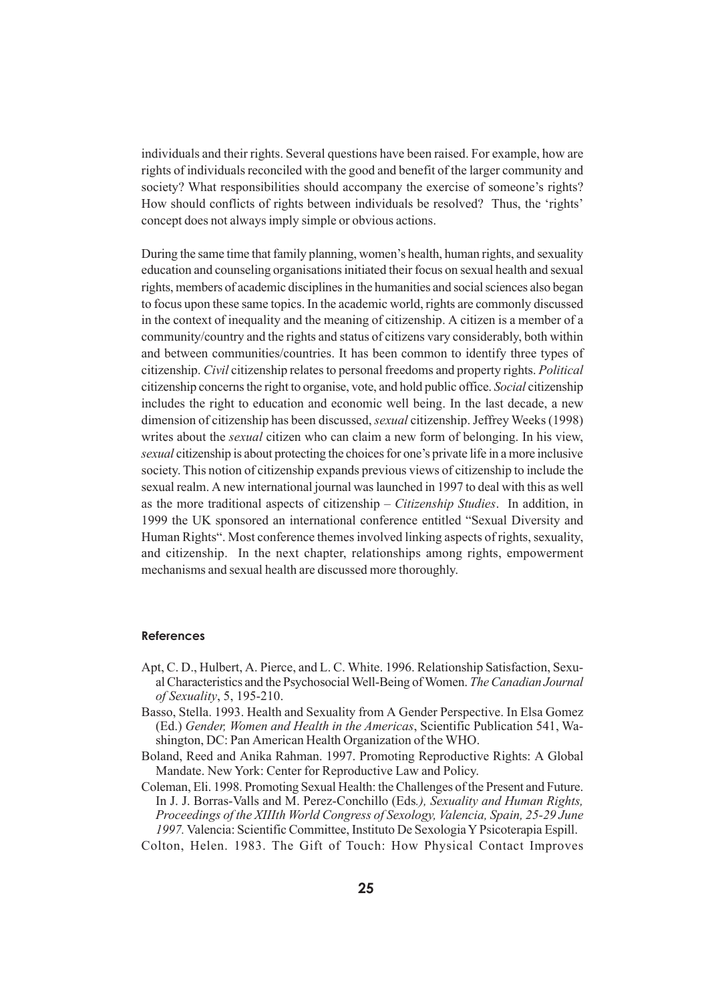individuals and their rights. Several questions have been raised. For example, how are rights of individuals reconciled with the good and benefit of the larger community and society? What responsibilities should accompany the exercise of someone's rights? How should conflicts of rights between individuals be resolved? Thus, the 'rights' concept does not always imply simple or obvious actions.

During the same time that family planning, women's health, human rights, and sexuality education and counseling organisations initiated their focus on sexual health and sexual rights, members of academic disciplines in the humanities and social sciences also began to focus upon these same topics. In the academic world, rights are commonly discussed in the context of inequality and the meaning of citizenship. A citizen is a member of a community/country and the rights and status of citizens vary considerably, both within and between communities/countries. It has been common to identify three types of citizenship. *Civil* citizenship relates to personal freedoms and property rights. *Political* citizenship concerns the right to organise, vote, and hold public office. *Social* citizenship includes the right to education and economic well being. In the last decade, a new dimension of citizenship has been discussed, *sexual* citizenship. Jeffrey Weeks (1998) writes about the *sexual* citizen who can claim a new form of belonging. In his view, *sexual* citizenship is about protecting the choices for one's private life in a more inclusive society. This notion of citizenship expands previous views of citizenship to include the sexual realm. A new international journal was launched in 1997 to deal with this as well as the more traditional aspects of citizenship – *Citizenship Studies*. In addition, in 1999 the UK sponsored an international conference entitled "Sexual Diversity and Human Rights". Most conference themes involved linking aspects of rights, sexuality, and citizenship. In the next chapter, relationships among rights, empowerment mechanisms and sexual health are discussed more thoroughly.

### **References**

- Apt, C. D., Hulbert, A. Pierce, and L. C. White. 1996. Relationship Satisfaction, Sexual Characteristics and the Psychosocial Well-Being of Women. *The Canadian Journal of Sexuality*, 5, 195-210.
- Basso, Stella. 1993. Health and Sexuality from A Gender Perspective. In Elsa Gomez (Ed.) *Gender, Women and Health in the Americas*, Scientific Publication 541, Washington, DC: Pan American Health Organization of the WHO.
- Boland, Reed and Anika Rahman. 1997. Promoting Reproductive Rights: A Global Mandate. New York: Center for Reproductive Law and Policy.
- Coleman, Eli. 1998. Promoting Sexual Health: the Challenges of the Present and Future. In J. J. Borras-Valls and M. Perez-Conchillo (Eds*.), Sexuality and Human Rights, Proceedings of the XIIIth World Congress of Sexology, Valencia, Spain, 25-29 June 1997.* Valencia: Scientific Committee, Instituto De Sexologia Y Psicoterapia Espill. Colton, Helen. 1983. The Gift of Touch: How Physical Contact Improves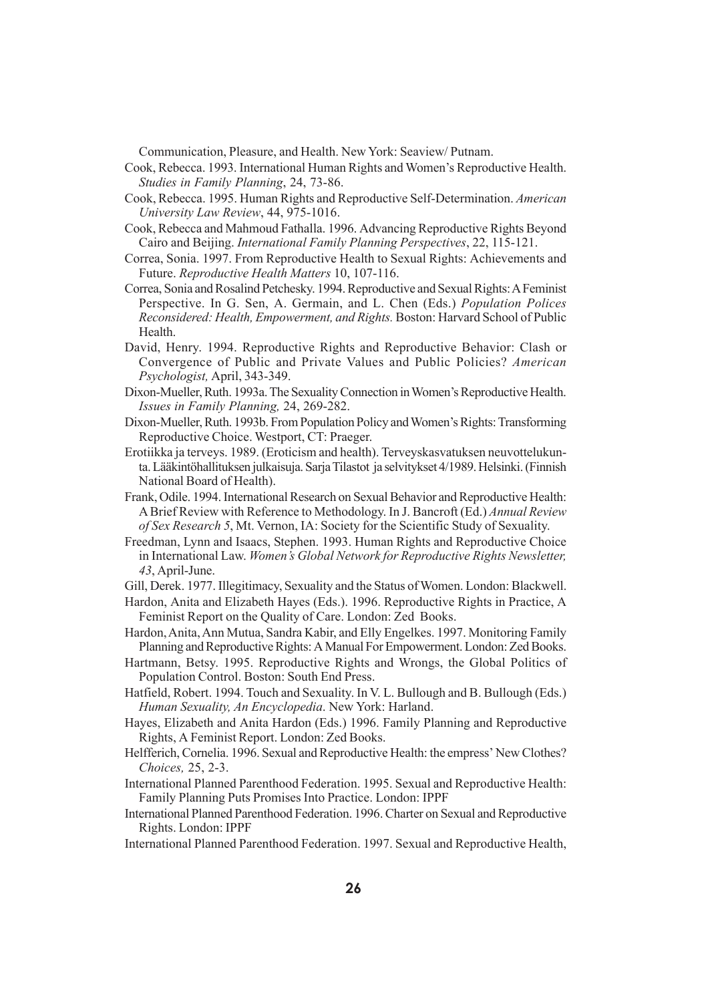Communication, Pleasure, and Health. New York: Seaview/ Putnam.

- Cook, Rebecca. 1993. International Human Rights and Women's Reproductive Health. *Studies in Family Planning*, 24, 73-86.
- Cook, Rebecca. 1995. Human Rights and Reproductive Self-Determination. *American University Law Review*, 44, 975-1016.
- Cook, Rebecca and Mahmoud Fathalla. 1996. Advancing Reproductive Rights Beyond Cairo and Beijing. *International Family Planning Perspectives*, 22, 115-121.
- Correa, Sonia. 1997. From Reproductive Health to Sexual Rights: Achievements and Future. *Reproductive Health Matters* 10, 107-116.
- Correa, Sonia and Rosalind Petchesky. 1994. Reproductive and Sexual Rights: A Feminist Perspective. In G. Sen, A. Germain, and L. Chen (Eds.) *Population Polices Reconsidered: Health, Empowerment, and Rights.* Boston: Harvard School of Public Health.
- David, Henry. 1994. Reproductive Rights and Reproductive Behavior: Clash or Convergence of Public and Private Values and Public Policies? *American Psychologist,* April, 343-349.
- Dixon-Mueller, Ruth. 1993a. The Sexuality Connection in Women's Reproductive Health. *Issues in Family Planning,* 24, 269-282.
- Dixon-Mueller, Ruth. 1993b. From Population Policy and Women's Rights: Transforming Reproductive Choice. Westport, CT: Praeger.
- Erotiikka ja terveys. 1989. (Eroticism and health). Terveyskasvatuksen neuvottelukunta. Lääkintöhallituksen julkaisuja. Sarja Tilastot ja selvitykset 4/1989. Helsinki. (Finnish National Board of Health).
- Frank, Odile. 1994. International Research on Sexual Behavior and Reproductive Health: A Brief Review with Reference to Methodology. In J. Bancroft (Ed.) *Annual Review of Sex Research 5*, Mt. Vernon, IA: Society for the Scientific Study of Sexuality.
- Freedman, Lynn and Isaacs, Stephen. 1993. Human Rights and Reproductive Choice in International Law. *Women's Global Network for Reproductive Rights Newsletter, 43*, April-June.
- Gill, Derek. 1977. Illegitimacy, Sexuality and the Status of Women. London: Blackwell.
- Hardon, Anita and Elizabeth Hayes (Eds.). 1996. Reproductive Rights in Practice, A Feminist Report on the Quality of Care. London: Zed Books.
- Hardon, Anita, Ann Mutua, Sandra Kabir, and Elly Engelkes. 1997. Monitoring Family Planning and Reproductive Rights: A Manual For Empowerment. London: Zed Books.
- Hartmann, Betsy. 1995. Reproductive Rights and Wrongs, the Global Politics of Population Control. Boston: South End Press.
- Hatfield, Robert. 1994. Touch and Sexuality. In V. L. Bullough and B. Bullough (Eds.) *Human Sexuality, An Encyclopedia*. New York: Harland.
- Hayes, Elizabeth and Anita Hardon (Eds.) 1996. Family Planning and Reproductive Rights, A Feminist Report. London: Zed Books.
- Helfferich, Cornelia. 1996. Sexual and Reproductive Health: the empress' New Clothes? *Choices,* 25, 2-3.
- International Planned Parenthood Federation. 1995. Sexual and Reproductive Health: Family Planning Puts Promises Into Practice. London: IPPF
- International Planned Parenthood Federation. 1996. Charter on Sexual and Reproductive Rights. London: IPPF
- International Planned Parenthood Federation. 1997. Sexual and Reproductive Health,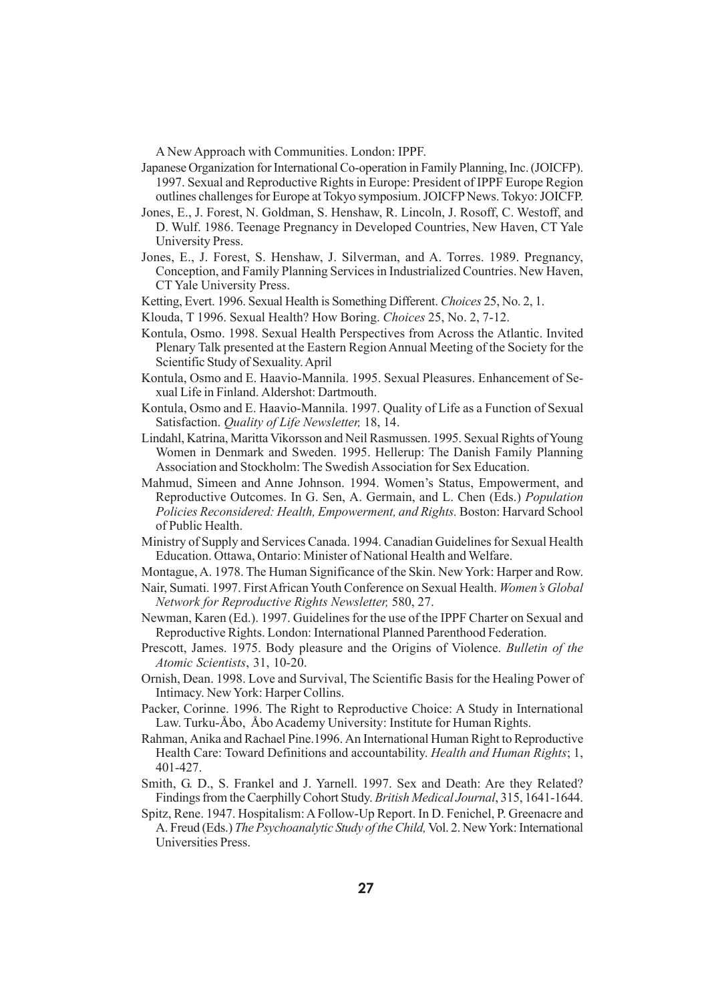A New Approach with Communities. London: IPPF.

- Japanese Organization for International Co-operation in Family Planning, Inc. (JOICFP). 1997. Sexual and Reproductive Rights in Europe: President of IPPF Europe Region outlines challenges for Europe at Tokyo symposium. JOICFP News. Tokyo: JOICFP.
- Jones, E., J. Forest, N. Goldman, S. Henshaw, R. Lincoln, J. Rosoff, C. Westoff, and D. Wulf. 1986. Teenage Pregnancy in Developed Countries, New Haven, CT Yale University Press.
- Jones, E., J. Forest, S. Henshaw, J. Silverman, and A. Torres. 1989. Pregnancy, Conception, and Family Planning Services in Industrialized Countries. New Haven, CT Yale University Press.
- Ketting, Evert. 1996. Sexual Health is Something Different. *Choices* 25, No. 2, 1.
- Klouda, T 1996. Sexual Health? How Boring. *Choices* 25, No. 2, 7-12.
- Kontula, Osmo. 1998. Sexual Health Perspectives from Across the Atlantic. Invited Plenary Talk presented at the Eastern Region Annual Meeting of the Society for the Scientific Study of Sexuality. April
- Kontula, Osmo and E. Haavio-Mannila. 1995. Sexual Pleasures. Enhancement of Sexual Life in Finland. Aldershot: Dartmouth.
- Kontula, Osmo and E. Haavio-Mannila. 1997. Quality of Life as a Function of Sexual Satisfaction. *Quality of Life Newsletter,* 18, 14.
- Lindahl, Katrina, Maritta Vikorsson and Neil Rasmussen. 1995. Sexual Rights of Young Women in Denmark and Sweden. 1995. Hellerup: The Danish Family Planning Association and Stockholm: The Swedish Association for Sex Education.
- Mahmud, Simeen and Anne Johnson. 1994. Women's Status, Empowerment, and Reproductive Outcomes. In G. Sen, A. Germain, and L. Chen (Eds.) *Population Policies Reconsidered: Health, Empowerment, and Rights.* Boston: Harvard School of Public Health.
- Ministry of Supply and Services Canada. 1994. Canadian Guidelines for Sexual Health Education. Ottawa, Ontario: Minister of National Health and Welfare.
- Montague, A. 1978. The Human Significance of the Skin. New York: Harper and Row.
- Nair, Sumati. 1997. First African Youth Conference on Sexual Health. *Women's Global Network for Reproductive Rights Newsletter,* 580, 27.
- Newman, Karen (Ed.). 1997. Guidelines for the use of the IPPF Charter on Sexual and Reproductive Rights. London: International Planned Parenthood Federation.
- Prescott, James. 1975. Body pleasure and the Origins of Violence. *Bulletin of the Atomic Scientists*, 31, 10-20.
- Ornish, Dean. 1998. Love and Survival, The Scientific Basis for the Healing Power of Intimacy. New York: Harper Collins.
- Packer, Corinne. 1996. The Right to Reproductive Choice: A Study in International Law. Turku-Åbo, Åbo Academy University: Institute for Human Rights.
- Rahman, Anika and Rachael Pine.1996. An International Human Right to Reproductive Health Care: Toward Definitions and accountability. *Health and Human Rights*; 1, 401-427.
- Smith, G. D., S. Frankel and J. Yarnell. 1997. Sex and Death: Are they Related? Findings from the Caerphilly Cohort Study. *British Medical Journal*, 315, 1641-1644.
- Spitz, Rene. 1947. Hospitalism: A Follow-Up Report. In D. Fenichel, P. Greenacre and A. Freud (Eds.) *The Psychoanalytic Study of the Child,* Vol. 2. New York: International Universities Press.